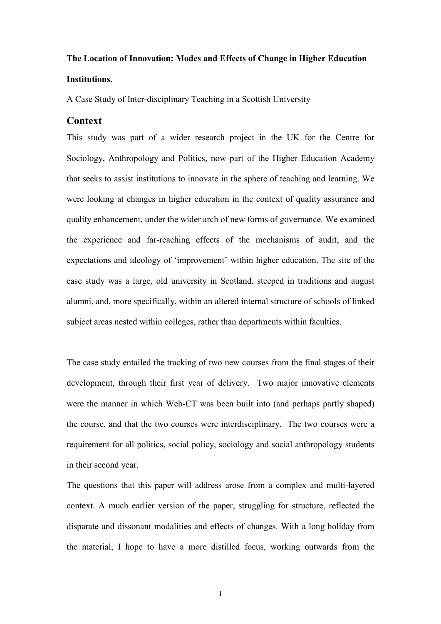# The Location of Innovation: Modes and Effects of Change in Higher Education Institutions.

A Case Study of Inter-disciplinary Teaching in a Scottish University

## **Context**

This study was part of a wider research project in the UK for the Centre for Sociology, Anthropology and Politics, now part of the Higher Education Academy that seeks to assist institutions to innovate in the sphere of teaching and learning. We were looking at changes in higher education in the context of quality assurance and quality enhancement, under the wider arch of new forms of governance. We examined the experience and far-reaching effects of the mechanisms of audit, and the expectations and ideology of 'improvement' within higher education. The site of the case study was a large, old university in Scotland, steeped in traditions and august alumni, and, more specifically, within an altered internal structure of schools of linked subject areas nested within colleges, rather than departments within faculties.

The case study entailed the tracking of two new courses from the final stages of their development, through their first year of delivery. Two major innovative elements were the manner in which Web-CT was been built into (and perhaps partly shaped) the course, and that the two courses were interdisciplinary. The two courses were a requirement for all politics, social policy, sociology and social anthropology students in their second year.

The questions that this paper will address arose from a complex and multi-layered context. A much earlier version of the paper, struggling for structure, reflected the disparate and dissonant modalities and effects of changes. With a long holiday from the material, I hope to have a more distilled focus, working outwards from the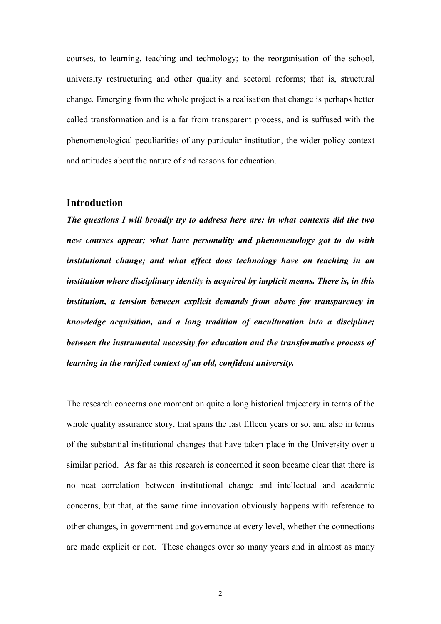courses, to learning, teaching and technology; to the reorganisation of the school, university restructuring and other quality and sectoral reforms; that is, structural change. Emerging from the whole project is a realisation that change is perhaps better called transformation and is a far from transparent process, and is suffused with the phenomenological peculiarities of any particular institution, the wider policy context and attitudes about the nature of and reasons for education.

## Introduction

The questions I will broadly try to address here are: in what contexts did the two new courses appear; what have personality and phenomenology got to do with institutional change; and what effect does technology have on teaching in an institution where disciplinary identity is acquired by implicit means. There is, in this institution, a tension between explicit demands from above for transparency in knowledge acquisition, and a long tradition of enculturation into a discipline; between the instrumental necessity for education and the transformative process of learning in the rarified context of an old, confident university.

The research concerns one moment on quite a long historical trajectory in terms of the whole quality assurance story, that spans the last fifteen years or so, and also in terms of the substantial institutional changes that have taken place in the University over a similar period. As far as this research is concerned it soon became clear that there is no neat correlation between institutional change and intellectual and academic concerns, but that, at the same time innovation obviously happens with reference to other changes, in government and governance at every level, whether the connections are made explicit or not. These changes over so many years and in almost as many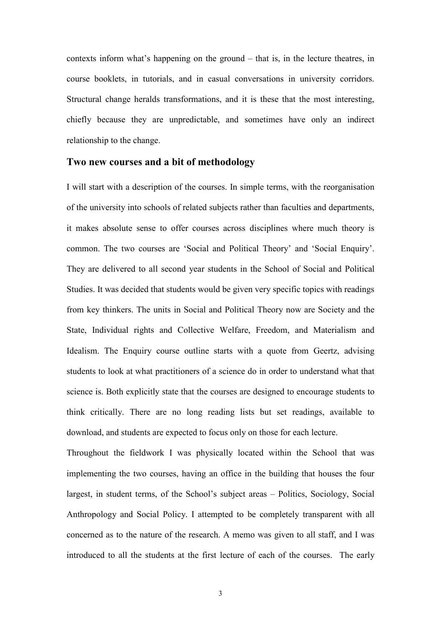contexts inform what's happening on the ground – that is, in the lecture theatres, in course booklets, in tutorials, and in casual conversations in university corridors. Structural change heralds transformations, and it is these that the most interesting, chiefly because they are unpredictable, and sometimes have only an indirect relationship to the change.

#### Two new courses and a bit of methodology

I will start with a description of the courses. In simple terms, with the reorganisation of the university into schools of related subjects rather than faculties and departments, it makes absolute sense to offer courses across disciplines where much theory is common. The two courses are 'Social and Political Theory' and 'Social Enquiry'. They are delivered to all second year students in the School of Social and Political Studies. It was decided that students would be given very specific topics with readings from key thinkers. The units in Social and Political Theory now are Society and the State, Individual rights and Collective Welfare, Freedom, and Materialism and Idealism. The Enquiry course outline starts with a quote from Geertz, advising students to look at what practitioners of a science do in order to understand what that science is. Both explicitly state that the courses are designed to encourage students to think critically. There are no long reading lists but set readings, available to download, and students are expected to focus only on those for each lecture.

Throughout the fieldwork I was physically located within the School that was implementing the two courses, having an office in the building that houses the four largest, in student terms, of the School's subject areas – Politics, Sociology, Social Anthropology and Social Policy. I attempted to be completely transparent with all concerned as to the nature of the research. A memo was given to all staff, and I was introduced to all the students at the first lecture of each of the courses. The early

3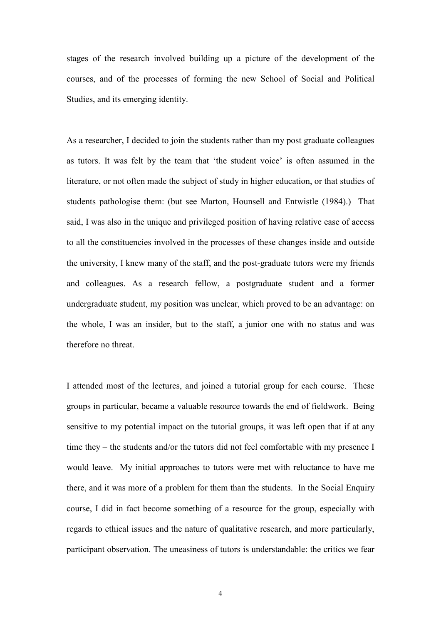stages of the research involved building up a picture of the development of the courses, and of the processes of forming the new School of Social and Political Studies, and its emerging identity.

As a researcher, I decided to join the students rather than my post graduate colleagues as tutors. It was felt by the team that 'the student voice' is often assumed in the literature, or not often made the subject of study in higher education, or that studies of students pathologise them: (but see Marton, Hounsell and Entwistle (1984).) That said, I was also in the unique and privileged position of having relative ease of access to all the constituencies involved in the processes of these changes inside and outside the university, I knew many of the staff, and the post-graduate tutors were my friends and colleagues. As a research fellow, a postgraduate student and a former undergraduate student, my position was unclear, which proved to be an advantage: on the whole, I was an insider, but to the staff, a junior one with no status and was therefore no threat.

I attended most of the lectures, and joined a tutorial group for each course. These groups in particular, became a valuable resource towards the end of fieldwork. Being sensitive to my potential impact on the tutorial groups, it was left open that if at any time they – the students and/or the tutors did not feel comfortable with my presence I would leave. My initial approaches to tutors were met with reluctance to have me there, and it was more of a problem for them than the students. In the Social Enquiry course, I did in fact become something of a resource for the group, especially with regards to ethical issues and the nature of qualitative research, and more particularly, participant observation. The uneasiness of tutors is understandable: the critics we fear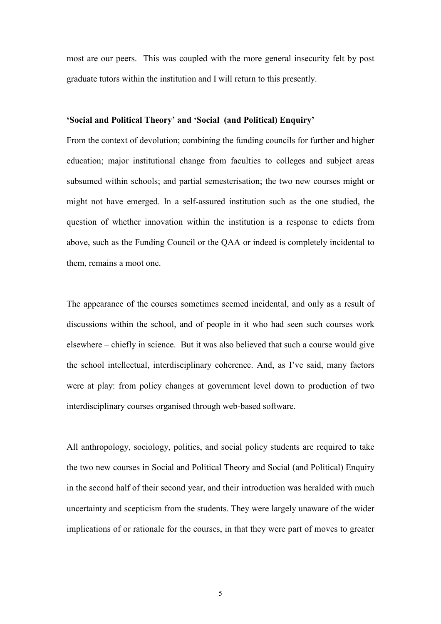most are our peers. This was coupled with the more general insecurity felt by post graduate tutors within the institution and I will return to this presently.

#### 'Social and Political Theory' and 'Social (and Political) Enquiry'

From the context of devolution; combining the funding councils for further and higher education; major institutional change from faculties to colleges and subject areas subsumed within schools; and partial semesterisation; the two new courses might or might not have emerged. In a self-assured institution such as the one studied, the question of whether innovation within the institution is a response to edicts from above, such as the Funding Council or the QAA or indeed is completely incidental to them, remains a moot one.

The appearance of the courses sometimes seemed incidental, and only as a result of discussions within the school, and of people in it who had seen such courses work elsewhere – chiefly in science. But it was also believed that such a course would give the school intellectual, interdisciplinary coherence. And, as I've said, many factors were at play: from policy changes at government level down to production of two interdisciplinary courses organised through web-based software.

All anthropology, sociology, politics, and social policy students are required to take the two new courses in Social and Political Theory and Social (and Political) Enquiry in the second half of their second year, and their introduction was heralded with much uncertainty and scepticism from the students. They were largely unaware of the wider implications of or rationale for the courses, in that they were part of moves to greater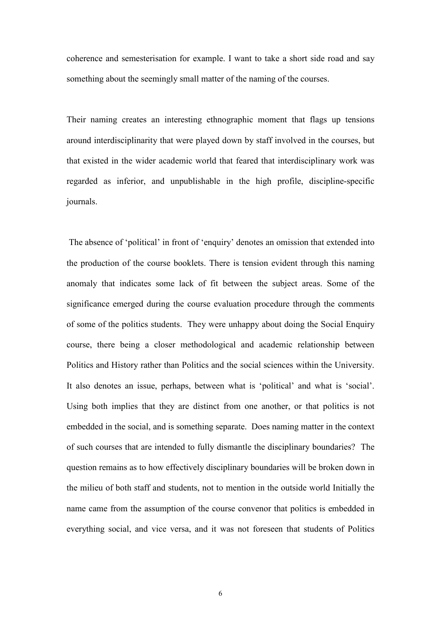coherence and semesterisation for example. I want to take a short side road and say something about the seemingly small matter of the naming of the courses.

Their naming creates an interesting ethnographic moment that flags up tensions around interdisciplinarity that were played down by staff involved in the courses, but that existed in the wider academic world that feared that interdisciplinary work was regarded as inferior, and unpublishable in the high profile, discipline-specific journals.

 The absence of 'political' in front of 'enquiry' denotes an omission that extended into the production of the course booklets. There is tension evident through this naming anomaly that indicates some lack of fit between the subject areas. Some of the significance emerged during the course evaluation procedure through the comments of some of the politics students. They were unhappy about doing the Social Enquiry course, there being a closer methodological and academic relationship between Politics and History rather than Politics and the social sciences within the University. It also denotes an issue, perhaps, between what is 'political' and what is 'social'. Using both implies that they are distinct from one another, or that politics is not embedded in the social, and is something separate. Does naming matter in the context of such courses that are intended to fully dismantle the disciplinary boundaries? The question remains as to how effectively disciplinary boundaries will be broken down in the milieu of both staff and students, not to mention in the outside world Initially the name came from the assumption of the course convenor that politics is embedded in everything social, and vice versa, and it was not foreseen that students of Politics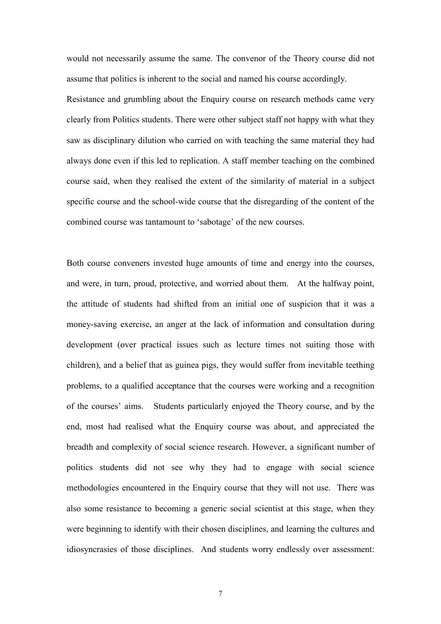would not necessarily assume the same. The convenor of the Theory course did not assume that politics is inherent to the social and named his course accordingly.

Resistance and grumbling about the Enquiry course on research methods came very clearly from Politics students. There were other subject staff not happy with what they saw as disciplinary dilution who carried on with teaching the same material they had always done even if this led to replication. A staff member teaching on the combined course said, when they realised the extent of the similarity of material in a subject specific course and the school-wide course that the disregarding of the content of the combined course was tantamount to 'sabotage' of the new courses.

Both course conveners invested huge amounts of time and energy into the courses, and were, in turn, proud, protective, and worried about them. At the halfway point, the attitude of students had shifted from an initial one of suspicion that it was a money-saving exercise, an anger at the lack of information and consultation during development (over practical issues such as lecture times not suiting those with children), and a belief that as guinea pigs, they would suffer from inevitable teething problems, to a qualified acceptance that the courses were working and a recognition of the courses' aims. Students particularly enjoyed the Theory course, and by the end, most had realised what the Enquiry course was about, and appreciated the breadth and complexity of social science research. However, a significant number of politics students did not see why they had to engage with social science methodologies encountered in the Enquiry course that they will not use. There was also some resistance to becoming a generic social scientist at this stage, when they were beginning to identify with their chosen disciplines, and learning the cultures and idiosyncrasies of those disciplines. And students worry endlessly over assessment:

7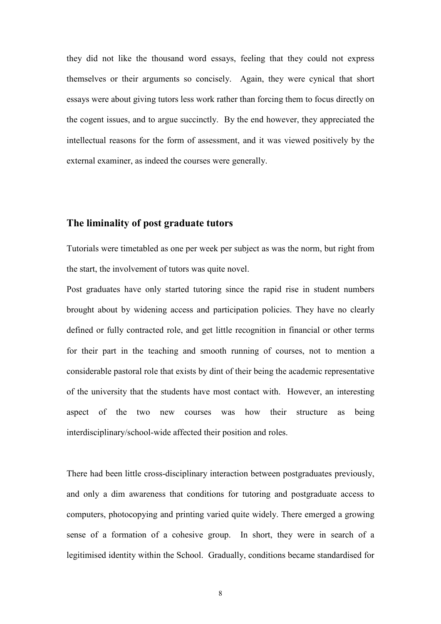they did not like the thousand word essays, feeling that they could not express themselves or their arguments so concisely. Again, they were cynical that short essays were about giving tutors less work rather than forcing them to focus directly on the cogent issues, and to argue succinctly. By the end however, they appreciated the intellectual reasons for the form of assessment, and it was viewed positively by the external examiner, as indeed the courses were generally.

### The liminality of post graduate tutors

Tutorials were timetabled as one per week per subject as was the norm, but right from the start, the involvement of tutors was quite novel.

Post graduates have only started tutoring since the rapid rise in student numbers brought about by widening access and participation policies. They have no clearly defined or fully contracted role, and get little recognition in financial or other terms for their part in the teaching and smooth running of courses, not to mention a considerable pastoral role that exists by dint of their being the academic representative of the university that the students have most contact with. However, an interesting aspect of the two new courses was how their structure as being interdisciplinary/school-wide affected their position and roles.

There had been little cross-disciplinary interaction between postgraduates previously, and only a dim awareness that conditions for tutoring and postgraduate access to computers, photocopying and printing varied quite widely. There emerged a growing sense of a formation of a cohesive group. In short, they were in search of a legitimised identity within the School. Gradually, conditions became standardised for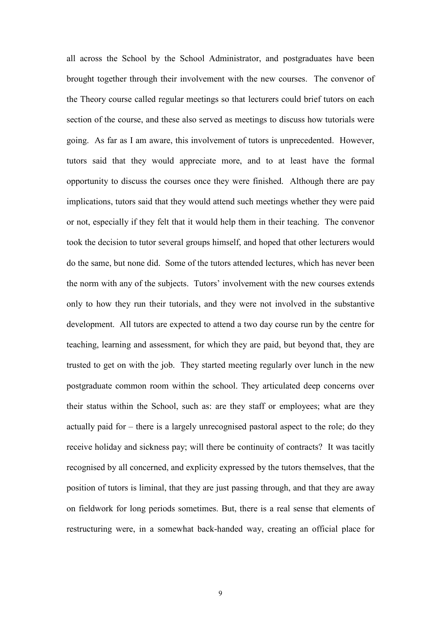all across the School by the School Administrator, and postgraduates have been brought together through their involvement with the new courses. The convenor of the Theory course called regular meetings so that lecturers could brief tutors on each section of the course, and these also served as meetings to discuss how tutorials were going. As far as I am aware, this involvement of tutors is unprecedented. However, tutors said that they would appreciate more, and to at least have the formal opportunity to discuss the courses once they were finished. Although there are pay implications, tutors said that they would attend such meetings whether they were paid or not, especially if they felt that it would help them in their teaching. The convenor took the decision to tutor several groups himself, and hoped that other lecturers would do the same, but none did. Some of the tutors attended lectures, which has never been the norm with any of the subjects. Tutors' involvement with the new courses extends only to how they run their tutorials, and they were not involved in the substantive development. All tutors are expected to attend a two day course run by the centre for teaching, learning and assessment, for which they are paid, but beyond that, they are trusted to get on with the job. They started meeting regularly over lunch in the new postgraduate common room within the school. They articulated deep concerns over their status within the School, such as: are they staff or employees; what are they actually paid for – there is a largely unrecognised pastoral aspect to the role; do they receive holiday and sickness pay; will there be continuity of contracts? It was tacitly recognised by all concerned, and explicity expressed by the tutors themselves, that the position of tutors is liminal, that they are just passing through, and that they are away on fieldwork for long periods sometimes. But, there is a real sense that elements of restructuring were, in a somewhat back-handed way, creating an official place for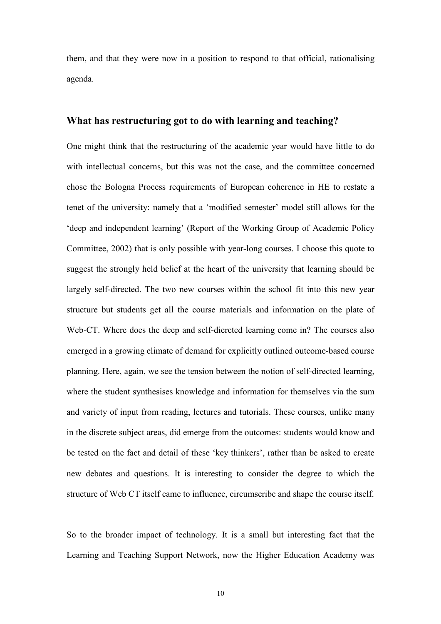them, and that they were now in a position to respond to that official, rationalising agenda.

#### What has restructuring got to do with learning and teaching?

One might think that the restructuring of the academic year would have little to do with intellectual concerns, but this was not the case, and the committee concerned chose the Bologna Process requirements of European coherence in HE to restate a tenet of the university: namely that a 'modified semester' model still allows for the 'deep and independent learning' (Report of the Working Group of Academic Policy Committee, 2002) that is only possible with year-long courses. I choose this quote to suggest the strongly held belief at the heart of the university that learning should be largely self-directed. The two new courses within the school fit into this new year structure but students get all the course materials and information on the plate of Web-CT. Where does the deep and self-diercted learning come in? The courses also emerged in a growing climate of demand for explicitly outlined outcome-based course planning. Here, again, we see the tension between the notion of self-directed learning, where the student synthesises knowledge and information for themselves via the sum and variety of input from reading, lectures and tutorials. These courses, unlike many in the discrete subject areas, did emerge from the outcomes: students would know and be tested on the fact and detail of these 'key thinkers', rather than be asked to create new debates and questions. It is interesting to consider the degree to which the structure of Web CT itself came to influence, circumscribe and shape the course itself.

So to the broader impact of technology. It is a small but interesting fact that the Learning and Teaching Support Network, now the Higher Education Academy was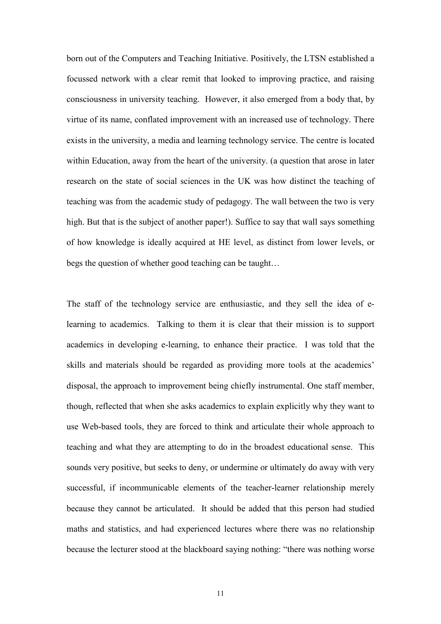born out of the Computers and Teaching Initiative. Positively, the LTSN established a focussed network with a clear remit that looked to improving practice, and raising consciousness in university teaching. However, it also emerged from a body that, by virtue of its name, conflated improvement with an increased use of technology. There exists in the university, a media and learning technology service. The centre is located within Education, away from the heart of the university. (a question that arose in later research on the state of social sciences in the UK was how distinct the teaching of teaching was from the academic study of pedagogy. The wall between the two is very high. But that is the subject of another paper!). Suffice to say that wall says something of how knowledge is ideally acquired at HE level, as distinct from lower levels, or begs the question of whether good teaching can be taught…

The staff of the technology service are enthusiastic, and they sell the idea of elearning to academics. Talking to them it is clear that their mission is to support academics in developing e-learning, to enhance their practice. I was told that the skills and materials should be regarded as providing more tools at the academics' disposal, the approach to improvement being chiefly instrumental. One staff member, though, reflected that when she asks academics to explain explicitly why they want to use Web-based tools, they are forced to think and articulate their whole approach to teaching and what they are attempting to do in the broadest educational sense. This sounds very positive, but seeks to deny, or undermine or ultimately do away with very successful, if incommunicable elements of the teacher-learner relationship merely because they cannot be articulated. It should be added that this person had studied maths and statistics, and had experienced lectures where there was no relationship because the lecturer stood at the blackboard saying nothing: "there was nothing worse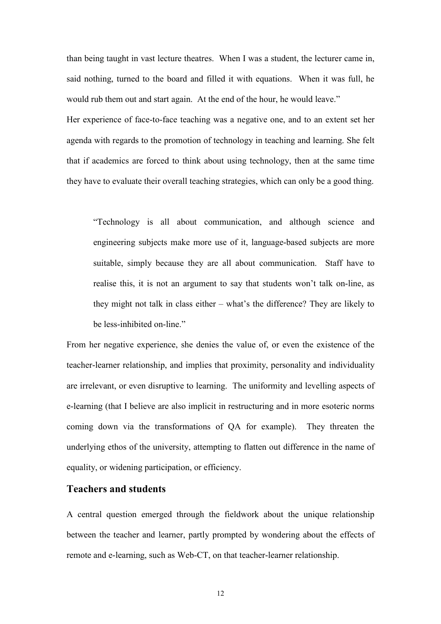than being taught in vast lecture theatres. When I was a student, the lecturer came in, said nothing, turned to the board and filled it with equations. When it was full, he would rub them out and start again. At the end of the hour, he would leave." Her experience of face-to-face teaching was a negative one, and to an extent set her agenda with regards to the promotion of technology in teaching and learning. She felt that if academics are forced to think about using technology, then at the same time they have to evaluate their overall teaching strategies, which can only be a good thing.

"Technology is all about communication, and although science and engineering subjects make more use of it, language-based subjects are more suitable, simply because they are all about communication. Staff have to realise this, it is not an argument to say that students won't talk on-line, as they might not talk in class either – what's the difference? They are likely to be less-inhibited on-line."

From her negative experience, she denies the value of, or even the existence of the teacher-learner relationship, and implies that proximity, personality and individuality are irrelevant, or even disruptive to learning. The uniformity and levelling aspects of e-learning (that I believe are also implicit in restructuring and in more esoteric norms coming down via the transformations of QA for example). They threaten the underlying ethos of the university, attempting to flatten out difference in the name of equality, or widening participation, or efficiency.

#### Teachers and students

A central question emerged through the fieldwork about the unique relationship between the teacher and learner, partly prompted by wondering about the effects of remote and e-learning, such as Web-CT, on that teacher-learner relationship.

12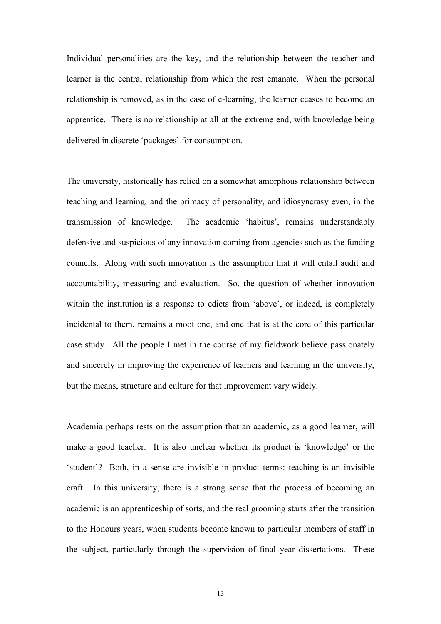Individual personalities are the key, and the relationship between the teacher and learner is the central relationship from which the rest emanate. When the personal relationship is removed, as in the case of e-learning, the learner ceases to become an apprentice. There is no relationship at all at the extreme end, with knowledge being delivered in discrete 'packages' for consumption.

The university, historically has relied on a somewhat amorphous relationship between teaching and learning, and the primacy of personality, and idiosyncrasy even, in the transmission of knowledge. The academic 'habitus', remains understandably defensive and suspicious of any innovation coming from agencies such as the funding councils. Along with such innovation is the assumption that it will entail audit and accountability, measuring and evaluation. So, the question of whether innovation within the institution is a response to edicts from 'above', or indeed, is completely incidental to them, remains a moot one, and one that is at the core of this particular case study. All the people I met in the course of my fieldwork believe passionately and sincerely in improving the experience of learners and learning in the university, but the means, structure and culture for that improvement vary widely.

Academia perhaps rests on the assumption that an academic, as a good learner, will make a good teacher. It is also unclear whether its product is 'knowledge' or the 'student'? Both, in a sense are invisible in product terms: teaching is an invisible craft. In this university, there is a strong sense that the process of becoming an academic is an apprenticeship of sorts, and the real grooming starts after the transition to the Honours years, when students become known to particular members of staff in the subject, particularly through the supervision of final year dissertations. These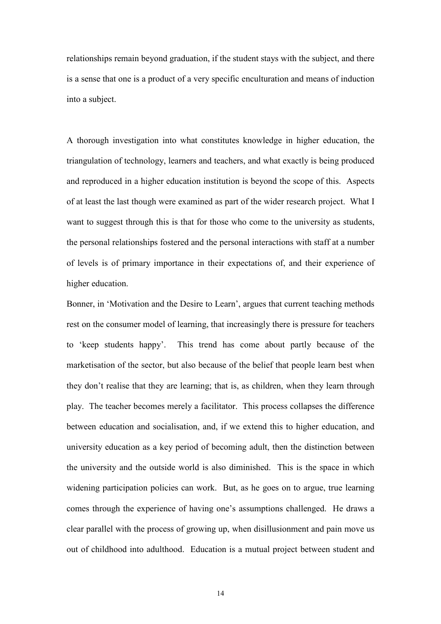relationships remain beyond graduation, if the student stays with the subject, and there is a sense that one is a product of a very specific enculturation and means of induction into a subject.

A thorough investigation into what constitutes knowledge in higher education, the triangulation of technology, learners and teachers, and what exactly is being produced and reproduced in a higher education institution is beyond the scope of this. Aspects of at least the last though were examined as part of the wider research project. What I want to suggest through this is that for those who come to the university as students, the personal relationships fostered and the personal interactions with staff at a number of levels is of primary importance in their expectations of, and their experience of higher education.

Bonner, in 'Motivation and the Desire to Learn', argues that current teaching methods rest on the consumer model of learning, that increasingly there is pressure for teachers to 'keep students happy'. This trend has come about partly because of the marketisation of the sector, but also because of the belief that people learn best when they don't realise that they are learning; that is, as children, when they learn through play. The teacher becomes merely a facilitator. This process collapses the difference between education and socialisation, and, if we extend this to higher education, and university education as a key period of becoming adult, then the distinction between the university and the outside world is also diminished. This is the space in which widening participation policies can work. But, as he goes on to argue, true learning comes through the experience of having one's assumptions challenged. He draws a clear parallel with the process of growing up, when disillusionment and pain move us out of childhood into adulthood. Education is a mutual project between student and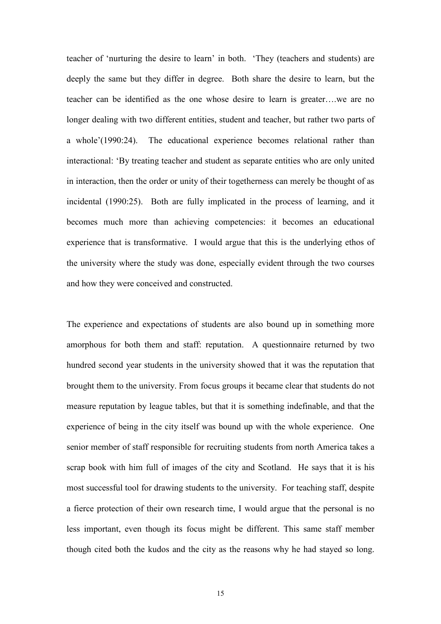teacher of 'nurturing the desire to learn' in both. 'They (teachers and students) are deeply the same but they differ in degree. Both share the desire to learn, but the teacher can be identified as the one whose desire to learn is greater….we are no longer dealing with two different entities, student and teacher, but rather two parts of a whole'(1990:24). The educational experience becomes relational rather than interactional: 'By treating teacher and student as separate entities who are only united in interaction, then the order or unity of their togetherness can merely be thought of as incidental (1990:25). Both are fully implicated in the process of learning, and it becomes much more than achieving competencies: it becomes an educational experience that is transformative. I would argue that this is the underlying ethos of the university where the study was done, especially evident through the two courses and how they were conceived and constructed.

The experience and expectations of students are also bound up in something more amorphous for both them and staff: reputation. A questionnaire returned by two hundred second year students in the university showed that it was the reputation that brought them to the university. From focus groups it became clear that students do not measure reputation by league tables, but that it is something indefinable, and that the experience of being in the city itself was bound up with the whole experience. One senior member of staff responsible for recruiting students from north America takes a scrap book with him full of images of the city and Scotland. He says that it is his most successful tool for drawing students to the university. For teaching staff, despite a fierce protection of their own research time, I would argue that the personal is no less important, even though its focus might be different. This same staff member though cited both the kudos and the city as the reasons why he had stayed so long.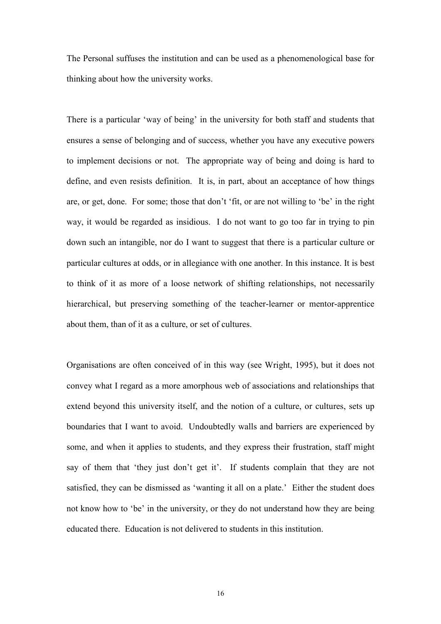The Personal suffuses the institution and can be used as a phenomenological base for thinking about how the university works.

There is a particular 'way of being' in the university for both staff and students that ensures a sense of belonging and of success, whether you have any executive powers to implement decisions or not. The appropriate way of being and doing is hard to define, and even resists definition. It is, in part, about an acceptance of how things are, or get, done. For some; those that don't 'fit, or are not willing to 'be' in the right way, it would be regarded as insidious. I do not want to go too far in trying to pin down such an intangible, nor do I want to suggest that there is a particular culture or particular cultures at odds, or in allegiance with one another. In this instance. It is best to think of it as more of a loose network of shifting relationships, not necessarily hierarchical, but preserving something of the teacher-learner or mentor-apprentice about them, than of it as a culture, or set of cultures.

Organisations are often conceived of in this way (see Wright, 1995), but it does not convey what I regard as a more amorphous web of associations and relationships that extend beyond this university itself, and the notion of a culture, or cultures, sets up boundaries that I want to avoid. Undoubtedly walls and barriers are experienced by some, and when it applies to students, and they express their frustration, staff might say of them that 'they just don't get it'. If students complain that they are not satisfied, they can be dismissed as 'wanting it all on a plate.' Either the student does not know how to 'be' in the university, or they do not understand how they are being educated there. Education is not delivered to students in this institution.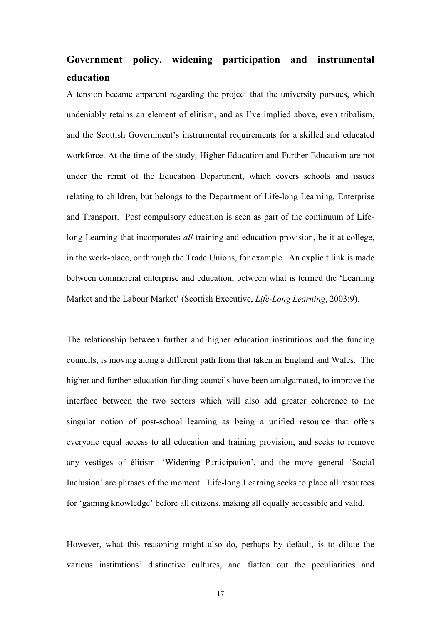# Government policy, widening participation and instrumental education

A tension became apparent regarding the project that the university pursues, which undeniably retains an element of elitism, and as I've implied above, even tribalism, and the Scottish Government's instrumental requirements for a skilled and educated workforce. At the time of the study, Higher Education and Further Education are not under the remit of the Education Department, which covers schools and issues relating to children, but belongs to the Department of Life-long Learning, Enterprise and Transport. Post compulsory education is seen as part of the continuum of Lifelong Learning that incorporates *all* training and education provision, be it at college, in the work-place, or through the Trade Unions, for example. An explicit link is made between commercial enterprise and education, between what is termed the 'Learning Market and the Labour Market' (Scottish Executive, Life-Long Learning, 2003:9).

The relationship between further and higher education institutions and the funding councils, is moving along a different path from that taken in England and Wales. The higher and further education funding councils have been amalgamated, to improve the interface between the two sectors which will also add greater coherence to the singular notion of post-school learning as being a unified resource that offers everyone equal access to all education and training provision, and seeks to remove any vestiges of élitism. 'Widening Participation', and the more general 'Social Inclusion' are phrases of the moment. Life-long Learning seeks to place all resources for 'gaining knowledge' before all citizens, making all equally accessible and valid.

However, what this reasoning might also do, perhaps by default, is to dilute the various institutions' distinctive cultures, and flatten out the peculiarities and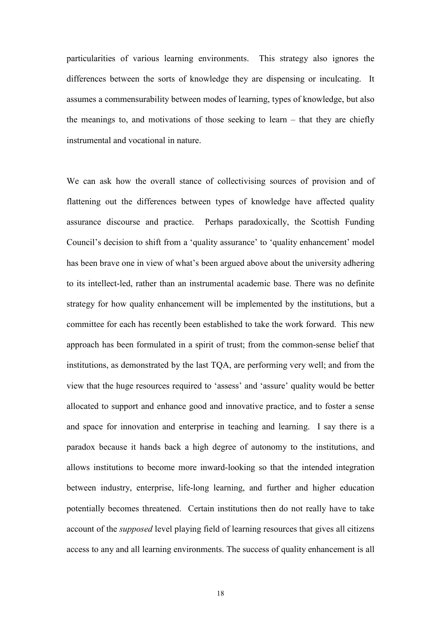particularities of various learning environments. This strategy also ignores the differences between the sorts of knowledge they are dispensing or inculcating. It assumes a commensurability between modes of learning, types of knowledge, but also the meanings to, and motivations of those seeking to learn – that they are chiefly instrumental and vocational in nature.

We can ask how the overall stance of collectivising sources of provision and of flattening out the differences between types of knowledge have affected quality assurance discourse and practice. Perhaps paradoxically, the Scottish Funding Council's decision to shift from a 'quality assurance' to 'quality enhancement' model has been brave one in view of what's been argued above about the university adhering to its intellect-led, rather than an instrumental academic base. There was no definite strategy for how quality enhancement will be implemented by the institutions, but a committee for each has recently been established to take the work forward. This new approach has been formulated in a spirit of trust; from the common-sense belief that institutions, as demonstrated by the last TQA, are performing very well; and from the view that the huge resources required to 'assess' and 'assure' quality would be better allocated to support and enhance good and innovative practice, and to foster a sense and space for innovation and enterprise in teaching and learning. I say there is a paradox because it hands back a high degree of autonomy to the institutions, and allows institutions to become more inward-looking so that the intended integration between industry, enterprise, life-long learning, and further and higher education potentially becomes threatened. Certain institutions then do not really have to take account of the supposed level playing field of learning resources that gives all citizens access to any and all learning environments. The success of quality enhancement is all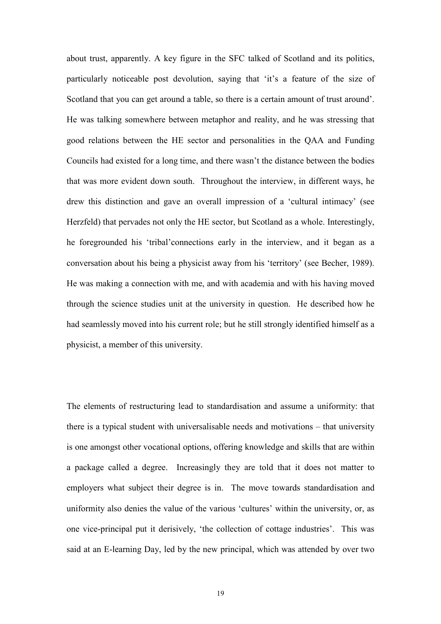about trust, apparently. A key figure in the SFC talked of Scotland and its politics, particularly noticeable post devolution, saying that 'it's a feature of the size of Scotland that you can get around a table, so there is a certain amount of trust around'. He was talking somewhere between metaphor and reality, and he was stressing that good relations between the HE sector and personalities in the QAA and Funding Councils had existed for a long time, and there wasn't the distance between the bodies that was more evident down south. Throughout the interview, in different ways, he drew this distinction and gave an overall impression of a 'cultural intimacy' (see Herzfeld) that pervades not only the HE sector, but Scotland as a whole. Interestingly, he foregrounded his 'tribal'connections early in the interview, and it began as a conversation about his being a physicist away from his 'territory' (see Becher, 1989). He was making a connection with me, and with academia and with his having moved through the science studies unit at the university in question. He described how he had seamlessly moved into his current role; but he still strongly identified himself as a physicist, a member of this university.

The elements of restructuring lead to standardisation and assume a uniformity: that there is a typical student with universalisable needs and motivations – that university is one amongst other vocational options, offering knowledge and skills that are within a package called a degree. Increasingly they are told that it does not matter to employers what subject their degree is in. The move towards standardisation and uniformity also denies the value of the various 'cultures' within the university, or, as one vice-principal put it derisively, 'the collection of cottage industries'. This was said at an E-learning Day, led by the new principal, which was attended by over two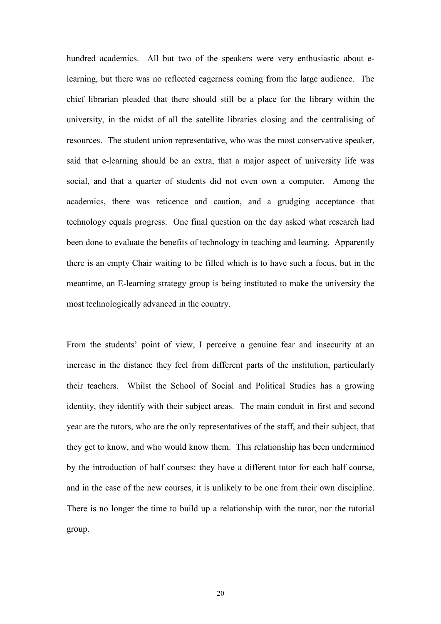hundred academics. All but two of the speakers were very enthusiastic about elearning, but there was no reflected eagerness coming from the large audience. The chief librarian pleaded that there should still be a place for the library within the university, in the midst of all the satellite libraries closing and the centralising of resources. The student union representative, who was the most conservative speaker, said that e-learning should be an extra, that a major aspect of university life was social, and that a quarter of students did not even own a computer. Among the academics, there was reticence and caution, and a grudging acceptance that technology equals progress. One final question on the day asked what research had been done to evaluate the benefits of technology in teaching and learning. Apparently there is an empty Chair waiting to be filled which is to have such a focus, but in the meantime, an E-learning strategy group is being instituted to make the university the most technologically advanced in the country.

From the students' point of view, I perceive a genuine fear and insecurity at an increase in the distance they feel from different parts of the institution, particularly their teachers. Whilst the School of Social and Political Studies has a growing identity, they identify with their subject areas. The main conduit in first and second year are the tutors, who are the only representatives of the staff, and their subject, that they get to know, and who would know them. This relationship has been undermined by the introduction of half courses: they have a different tutor for each half course, and in the case of the new courses, it is unlikely to be one from their own discipline. There is no longer the time to build up a relationship with the tutor, nor the tutorial group.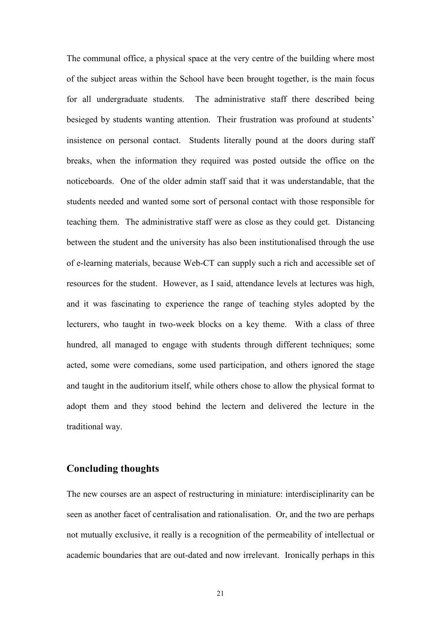The communal office, a physical space at the very centre of the building where most of the subject areas within the School have been brought together, is the main focus for all undergraduate students. The administrative staff there described being besieged by students wanting attention. Their frustration was profound at students' insistence on personal contact. Students literally pound at the doors during staff breaks, when the information they required was posted outside the office on the noticeboards. One of the older admin staff said that it was understandable, that the students needed and wanted some sort of personal contact with those responsible for teaching them. The administrative staff were as close as they could get. Distancing between the student and the university has also been institutionalised through the use of e-learning materials, because Web-CT can supply such a rich and accessible set of resources for the student. However, as I said, attendance levels at lectures was high, and it was fascinating to experience the range of teaching styles adopted by the lecturers, who taught in two-week blocks on a key theme. With a class of three hundred, all managed to engage with students through different techniques; some acted, some were comedians, some used participation, and others ignored the stage and taught in the auditorium itself, while others chose to allow the physical format to adopt them and they stood behind the lectern and delivered the lecture in the traditional way.

# Concluding thoughts

The new courses are an aspect of restructuring in miniature: interdisciplinarity can be seen as another facet of centralisation and rationalisation. Or, and the two are perhaps not mutually exclusive, it really is a recognition of the permeability of intellectual or academic boundaries that are out-dated and now irrelevant. Ironically perhaps in this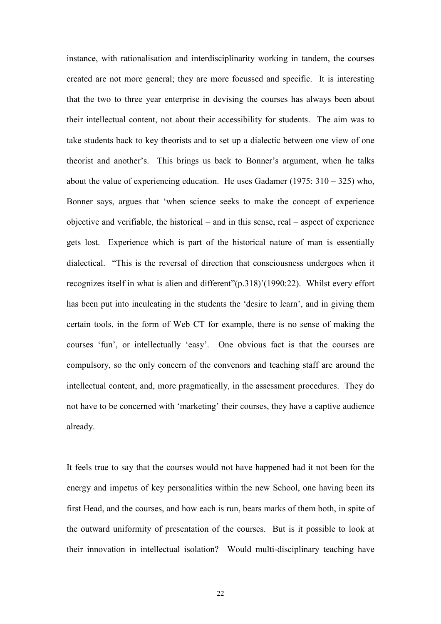instance, with rationalisation and interdisciplinarity working in tandem, the courses created are not more general; they are more focussed and specific. It is interesting that the two to three year enterprise in devising the courses has always been about their intellectual content, not about their accessibility for students. The aim was to take students back to key theorists and to set up a dialectic between one view of one theorist and another's. This brings us back to Bonner's argument, when he talks about the value of experiencing education. He uses Gadamer (1975:  $310 - 325$ ) who, Bonner says, argues that 'when science seeks to make the concept of experience objective and verifiable, the historical – and in this sense, real – aspect of experience gets lost. Experience which is part of the historical nature of man is essentially dialectical. "This is the reversal of direction that consciousness undergoes when it recognizes itself in what is alien and different"(p.318)'(1990:22). Whilst every effort has been put into inculcating in the students the 'desire to learn', and in giving them certain tools, in the form of Web CT for example, there is no sense of making the courses 'fun', or intellectually 'easy'. One obvious fact is that the courses are compulsory, so the only concern of the convenors and teaching staff are around the intellectual content, and, more pragmatically, in the assessment procedures. They do not have to be concerned with 'marketing' their courses, they have a captive audience already.

It feels true to say that the courses would not have happened had it not been for the energy and impetus of key personalities within the new School, one having been its first Head, and the courses, and how each is run, bears marks of them both, in spite of the outward uniformity of presentation of the courses. But is it possible to look at their innovation in intellectual isolation? Would multi-disciplinary teaching have